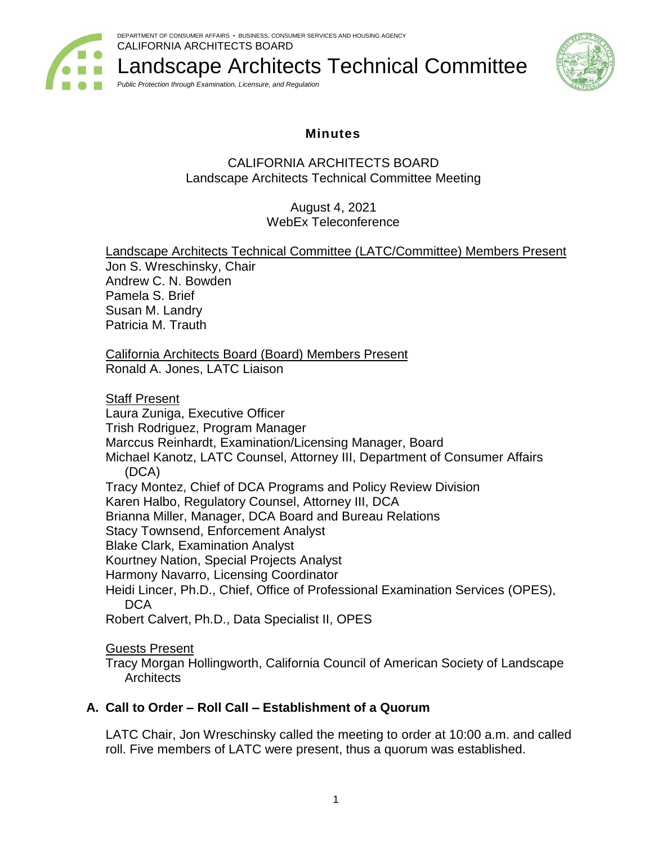

Landscape Architects Technical Committee *Public Protection through Examination, Licensure, and Regulation*



# **Minutes**

## CALIFORNIA ARCHITECTS BOARD Landscape Architects Technical Committee Meeting

August 4, 2021 WebEx Teleconference

Landscape Architects Technical Committee (LATC/Committee) Members Present Jon S. Wreschinsky, Chair Andrew C. N. Bowden Pamela S. Brief Susan M. Landry Patricia M. Trauth California Architects Board (Board) Members Present Ronald A. Jones, LATC Liaison Staff Present Laura Zuniga, Executive Officer Trish Rodriguez, Program Manager Marccus Reinhardt, Examination/Licensing Manager, Board Michael Kanotz, LATC Counsel, Attorney III, Department of Consumer Affairs (DCA) Tracy Montez, Chief of DCA Programs and Policy Review Division Karen Halbo, Regulatory Counsel, Attorney III, DCA Brianna Miller, Manager, DCA Board and Bureau Relations Stacy Townsend, Enforcement Analyst Blake Clark, Examination Analyst Kourtney Nation, Special Projects Analyst Harmony Navarro, Licensing Coordinator Heidi Lincer, Ph.D., Chief, Office of Professional Examination Services (OPES), **DCA** Robert Calvert, Ph.D., Data Specialist II, OPES Guests Present

Tracy Morgan Hollingworth, California Council of American Society of Landscape **Architects** 

## **A. Call to Order – Roll Call – Establishment of a Quorum**

LATC Chair, Jon Wreschinsky called the meeting to order at 10:00 a.m. and called roll. Five members of LATC were present, thus a quorum was established.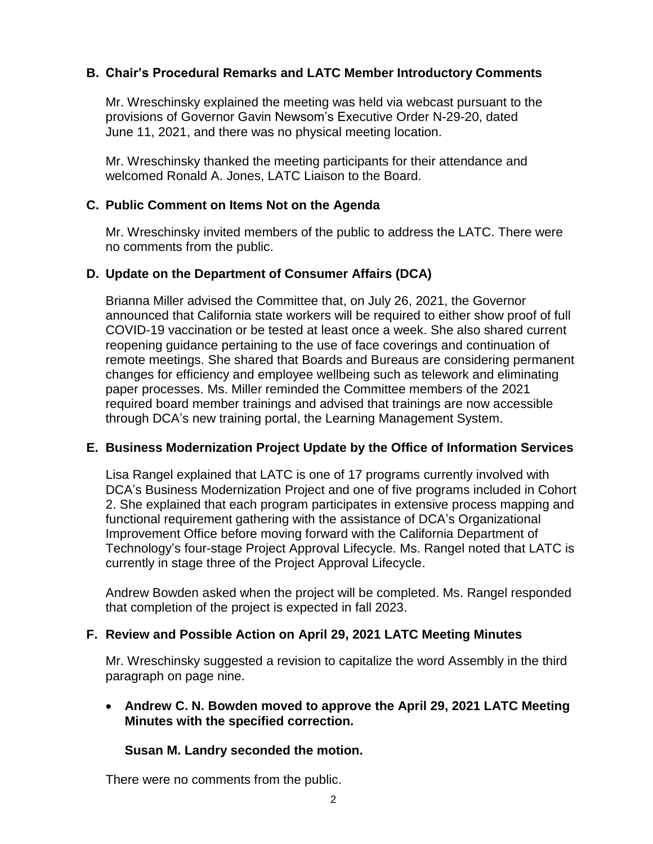## **B. Chair's Procedural Remarks and LATC Member Introductory Comments**

Mr. Wreschinsky explained the meeting was held via webcast pursuant to the provisions of Governor Gavin Newsom's Executive Order N-29-20, dated June 11, 2021, and there was no physical meeting location.

Mr. Wreschinsky thanked the meeting participants for their attendance and welcomed Ronald A. Jones, LATC Liaison to the Board.

### **C. Public Comment on Items Not on the Agenda**

Mr. Wreschinsky invited members of the public to address the LATC. There were no comments from the public.

### **D. Update on the Department of Consumer Affairs (DCA)**

Brianna Miller advised the Committee that, on July 26, 2021, the Governor announced that California state workers will be required to either show proof of full COVID-19 vaccination or be tested at least once a week. She also shared current reopening guidance pertaining to the use of face coverings and continuation of remote meetings. She shared that Boards and Bureaus are considering permanent changes for efficiency and employee wellbeing such as telework and eliminating paper processes. Ms. Miller reminded the Committee members of the 2021 required board member trainings and advised that trainings are now accessible through DCA's new training portal, the Learning Management System.

### **E. Business Modernization Project Update by the Office of Information Services**

Lisa Rangel explained that LATC is one of 17 programs currently involved with DCA's Business Modernization Project and one of five programs included in Cohort 2. She explained that each program participates in extensive process mapping and functional requirement gathering with the assistance of DCA's Organizational Improvement Office before moving forward with the California Department of Technology's four-stage Project Approval Lifecycle. Ms. Rangel noted that LATC is currently in stage three of the Project Approval Lifecycle.

Andrew Bowden asked when the project will be completed. Ms. Rangel responded that completion of the project is expected in fall 2023.

#### **F. Review and Possible Action on April 29, 2021 LATC Meeting Minutes**

Mr. Wreschinsky suggested a revision to capitalize the word Assembly in the third paragraph on page nine.

### • **Andrew C. N. Bowden moved to approve the April 29, 2021 LATC Meeting Minutes with the specified correction.**

#### **Susan M. Landry seconded the motion.**

There were no comments from the public.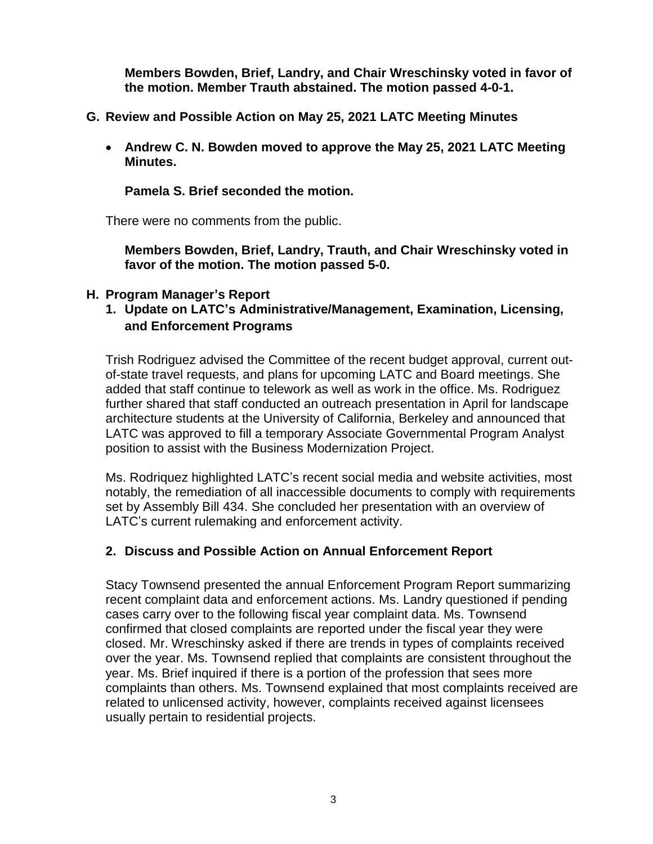**Members Bowden, Brief, Landry, and Chair Wreschinsky voted in favor of the motion. Member Trauth abstained. The motion passed 4-0-1.**

- **G. Review and Possible Action on May 25, 2021 LATC Meeting Minutes** 
	- **Andrew C. N. Bowden moved to approve the May 25, 2021 LATC Meeting Minutes.**

## **Pamela S. Brief seconded the motion.**

There were no comments from the public.

**Members Bowden, Brief, Landry, Trauth, and Chair Wreschinsky voted in favor of the motion. The motion passed 5-0.**

## **H. Program Manager's Report**

**1. Update on LATC's Administrative/Management, Examination, Licensing, and Enforcement Programs**

Trish Rodriguez advised the Committee of the recent budget approval, current outof-state travel requests, and plans for upcoming LATC and Board meetings. She added that staff continue to telework as well as work in the office. Ms. Rodriguez further shared that staff conducted an outreach presentation in April for landscape architecture students at the University of California, Berkeley and announced that LATC was approved to fill a temporary Associate Governmental Program Analyst position to assist with the Business Modernization Project.

Ms. Rodriquez highlighted LATC's recent social media and website activities, most notably, the remediation of all inaccessible documents to comply with requirements set by Assembly Bill 434. She concluded her presentation with an overview of LATC's current rulemaking and enforcement activity.

## **2. Discuss and Possible Action on Annual Enforcement Report**

Stacy Townsend presented the annual Enforcement Program Report summarizing recent complaint data and enforcement actions. Ms. Landry questioned if pending cases carry over to the following fiscal year complaint data. Ms. Townsend confirmed that closed complaints are reported under the fiscal year they were closed. Mr. Wreschinsky asked if there are trends in types of complaints received over the year. Ms. Townsend replied that complaints are consistent throughout the year. Ms. Brief inquired if there is a portion of the profession that sees more complaints than others. Ms. Townsend explained that most complaints received are related to unlicensed activity, however, complaints received against licensees usually pertain to residential projects.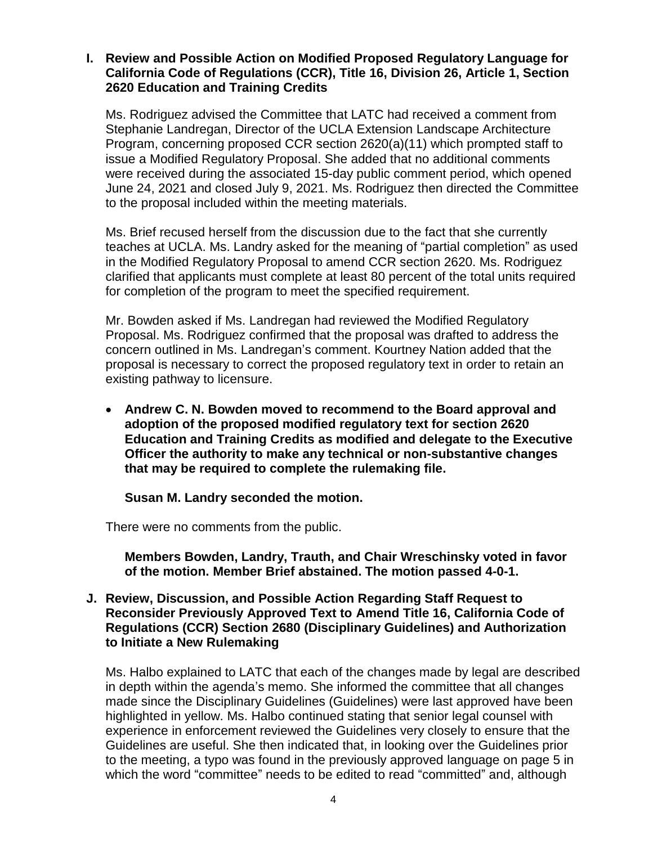### **I. Review and Possible Action on Modified Proposed Regulatory Language for California Code of Regulations (CCR), Title 16, Division 26, Article 1, Section 2620 Education and Training Credits**

Ms. Rodriguez advised the Committee that LATC had received a comment from Stephanie Landregan, Director of the UCLA Extension Landscape Architecture Program, concerning proposed CCR section 2620(a)(11) which prompted staff to issue a Modified Regulatory Proposal. She added that no additional comments were received during the associated 15-day public comment period, which opened June 24, 2021 and closed July 9, 2021. Ms. Rodriguez then directed the Committee to the proposal included within the meeting materials.

Ms. Brief recused herself from the discussion due to the fact that she currently teaches at UCLA. Ms. Landry asked for the meaning of "partial completion" as used in the Modified Regulatory Proposal to amend CCR section 2620. Ms. Rodriguez clarified that applicants must complete at least 80 percent of the total units required for completion of the program to meet the specified requirement.

Mr. Bowden asked if Ms. Landregan had reviewed the Modified Regulatory Proposal. Ms. Rodriguez confirmed that the proposal was drafted to address the concern outlined in Ms. Landregan's comment. Kourtney Nation added that the proposal is necessary to correct the proposed regulatory text in order to retain an existing pathway to licensure.

• **Andrew C. N. Bowden moved to recommend to the Board approval and adoption of the proposed modified regulatory text for section 2620 Education and Training Credits as modified and delegate to the Executive Officer the authority to make any technical or non-substantive changes that may be required to complete the rulemaking file.**

**Susan M. Landry seconded the motion.**

There were no comments from the public.

**Members Bowden, Landry, Trauth, and Chair Wreschinsky voted in favor of the motion. Member Brief abstained. The motion passed 4-0-1.**

### **J. Review, Discussion, and Possible Action Regarding Staff Request to Reconsider Previously Approved Text to Amend Title 16, California Code of Regulations (CCR) Section 2680 (Disciplinary Guidelines) and Authorization to Initiate a New Rulemaking**

Ms. Halbo explained to LATC that each of the changes made by legal are described in depth within the agenda's memo. She informed the committee that all changes made since the Disciplinary Guidelines (Guidelines) were last approved have been highlighted in yellow. Ms. Halbo continued stating that senior legal counsel with experience in enforcement reviewed the Guidelines very closely to ensure that the Guidelines are useful. She then indicated that, in looking over the Guidelines prior to the meeting, a typo was found in the previously approved language on page 5 in which the word "committee" needs to be edited to read "committed" and, although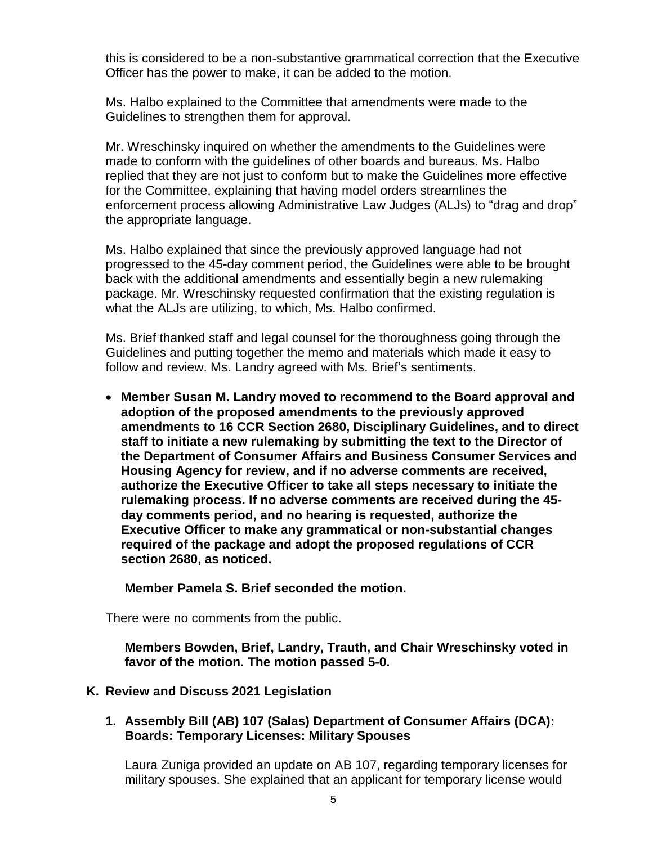this is considered to be a non-substantive grammatical correction that the Executive Officer has the power to make, it can be added to the motion.

Ms. Halbo explained to the Committee that amendments were made to the Guidelines to strengthen them for approval.

Mr. Wreschinsky inquired on whether the amendments to the Guidelines were made to conform with the guidelines of other boards and bureaus. Ms. Halbo replied that they are not just to conform but to make the Guidelines more effective for the Committee, explaining that having model orders streamlines the enforcement process allowing Administrative Law Judges (ALJs) to "drag and drop" the appropriate language.

Ms. Halbo explained that since the previously approved language had not progressed to the 45-day comment period, the Guidelines were able to be brought back with the additional amendments and essentially begin a new rulemaking package. Mr. Wreschinsky requested confirmation that the existing regulation is what the ALJs are utilizing, to which, Ms. Halbo confirmed.

Ms. Brief thanked staff and legal counsel for the thoroughness going through the Guidelines and putting together the memo and materials which made it easy to follow and review. Ms. Landry agreed with Ms. Brief's sentiments.

• **Member Susan M. Landry moved to recommend to the Board approval and adoption of the proposed amendments to the previously approved amendments to 16 CCR Section 2680, Disciplinary Guidelines, and to direct staff to initiate a new rulemaking by submitting the text to the Director of the Department of Consumer Affairs and Business Consumer Services and Housing Agency for review, and if no adverse comments are received, authorize the Executive Officer to take all steps necessary to initiate the rulemaking process. If no adverse comments are received during the 45 day comments period, and no hearing is requested, authorize the Executive Officer to make any grammatical or non-substantial changes required of the package and adopt the proposed regulations of CCR section 2680, as noticed.**

#### **Member Pamela S. Brief seconded the motion.**

There were no comments from the public.

**Members Bowden, Brief, Landry, Trauth, and Chair Wreschinsky voted in favor of the motion. The motion passed 5-0.**

### **K. Review and Discuss 2021 Legislation**

**1. Assembly Bill (AB) 107 (Salas) Department of Consumer Affairs (DCA): Boards: Temporary Licenses: Military Spouses**

Laura Zuniga provided an update on AB 107, regarding temporary licenses for military spouses. She explained that an applicant for temporary license would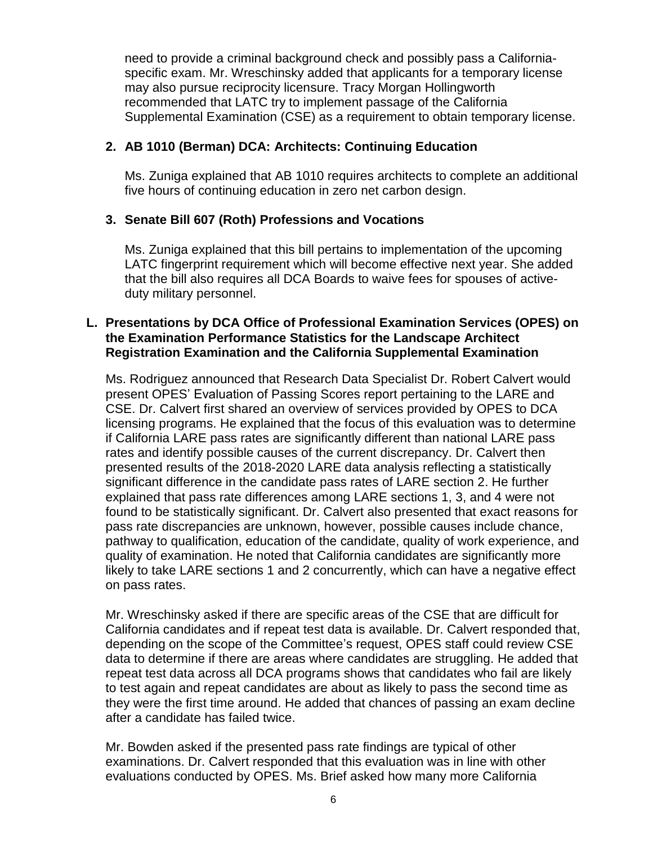need to provide a criminal background check and possibly pass a Californiaspecific exam. Mr. Wreschinsky added that applicants for a temporary license may also pursue reciprocity licensure. Tracy Morgan Hollingworth recommended that LATC try to implement passage of the California Supplemental Examination (CSE) as a requirement to obtain temporary license.

## **2. AB 1010 (Berman) DCA: Architects: Continuing Education**

Ms. Zuniga explained that AB 1010 requires architects to complete an additional five hours of continuing education in zero net carbon design.

## **3. Senate Bill 607 (Roth) Professions and Vocations**

Ms. Zuniga explained that this bill pertains to implementation of the upcoming LATC fingerprint requirement which will become effective next year. She added that the bill also requires all DCA Boards to waive fees for spouses of activeduty military personnel.

### **L. Presentations by DCA Office of Professional Examination Services (OPES) on the Examination Performance Statistics for the Landscape Architect Registration Examination and the California Supplemental Examination**

Ms. Rodriguez announced that Research Data Specialist Dr. Robert Calvert would present OPES' Evaluation of Passing Scores report pertaining to the LARE and CSE. Dr. Calvert first shared an overview of services provided by OPES to DCA licensing programs. He explained that the focus of this evaluation was to determine if California LARE pass rates are significantly different than national LARE pass rates and identify possible causes of the current discrepancy. Dr. Calvert then presented results of the 2018-2020 LARE data analysis reflecting a statistically significant difference in the candidate pass rates of LARE section 2. He further explained that pass rate differences among LARE sections 1, 3, and 4 were not found to be statistically significant. Dr. Calvert also presented that exact reasons for pass rate discrepancies are unknown, however, possible causes include chance, pathway to qualification, education of the candidate, quality of work experience, and quality of examination. He noted that California candidates are significantly more likely to take LARE sections 1 and 2 concurrently, which can have a negative effect on pass rates.

Mr. Wreschinsky asked if there are specific areas of the CSE that are difficult for California candidates and if repeat test data is available. Dr. Calvert responded that, depending on the scope of the Committee's request, OPES staff could review CSE data to determine if there are areas where candidates are struggling. He added that repeat test data across all DCA programs shows that candidates who fail are likely to test again and repeat candidates are about as likely to pass the second time as they were the first time around. He added that chances of passing an exam decline after a candidate has failed twice.

Mr. Bowden asked if the presented pass rate findings are typical of other examinations. Dr. Calvert responded that this evaluation was in line with other evaluations conducted by OPES. Ms. Brief asked how many more California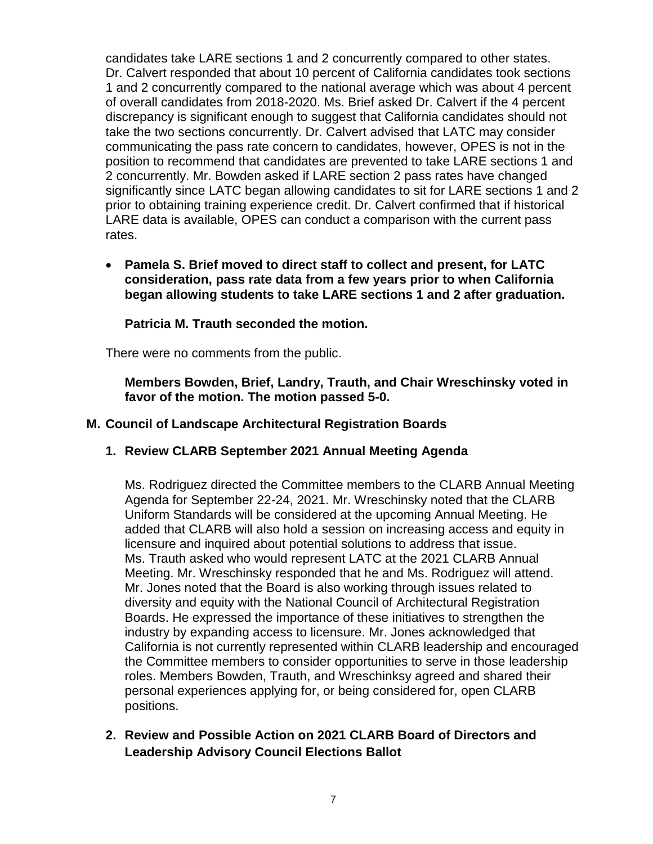candidates take LARE sections 1 and 2 concurrently compared to other states. Dr. Calvert responded that about 10 percent of California candidates took sections 1 and 2 concurrently compared to the national average which was about 4 percent of overall candidates from 2018-2020. Ms. Brief asked Dr. Calvert if the 4 percent discrepancy is significant enough to suggest that California candidates should not take the two sections concurrently. Dr. Calvert advised that LATC may consider communicating the pass rate concern to candidates, however, OPES is not in the position to recommend that candidates are prevented to take LARE sections 1 and 2 concurrently. Mr. Bowden asked if LARE section 2 pass rates have changed significantly since LATC began allowing candidates to sit for LARE sections 1 and 2 prior to obtaining training experience credit. Dr. Calvert confirmed that if historical LARE data is available, OPES can conduct a comparison with the current pass rates.

• **Pamela S. Brief moved to direct staff to collect and present, for LATC consideration, pass rate data from a few years prior to when California began allowing students to take LARE sections 1 and 2 after graduation.**

**Patricia M. Trauth seconded the motion.**

There were no comments from the public.

**Members Bowden, Brief, Landry, Trauth, and Chair Wreschinsky voted in favor of the motion. The motion passed 5-0.**

## **M. Council of Landscape Architectural Registration Boards**

## **1. Review CLARB September 2021 Annual Meeting Agenda**

Ms. Rodriguez directed the Committee members to the CLARB Annual Meeting Agenda for September 22-24, 2021. Mr. Wreschinsky noted that the CLARB Uniform Standards will be considered at the upcoming Annual Meeting. He added that CLARB will also hold a session on increasing access and equity in licensure and inquired about potential solutions to address that issue. Ms. Trauth asked who would represent LATC at the 2021 CLARB Annual Meeting. Mr. Wreschinsky responded that he and Ms. Rodriguez will attend. Mr. Jones noted that the Board is also working through issues related to diversity and equity with the National Council of Architectural Registration Boards. He expressed the importance of these initiatives to strengthen the industry by expanding access to licensure. Mr. Jones acknowledged that California is not currently represented within CLARB leadership and encouraged the Committee members to consider opportunities to serve in those leadership roles. Members Bowden, Trauth, and Wreschinksy agreed and shared their personal experiences applying for, or being considered for, open CLARB positions.

**2. Review and Possible Action on 2021 CLARB Board of Directors and Leadership Advisory Council Elections Ballot**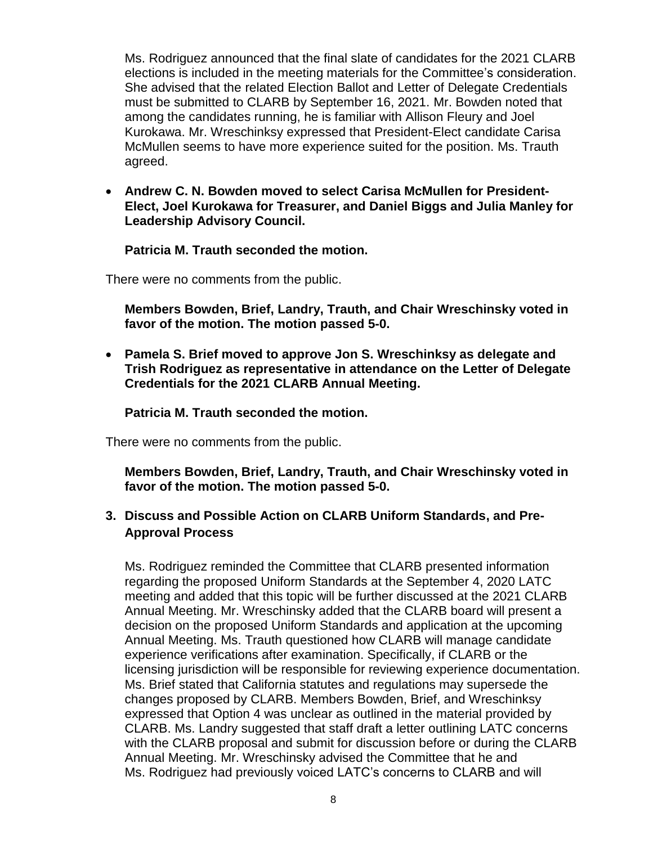Ms. Rodriguez announced that the final slate of candidates for the 2021 CLARB elections is included in the meeting materials for the Committee's consideration. She advised that the related Election Ballot and Letter of Delegate Credentials must be submitted to CLARB by September 16, 2021. Mr. Bowden noted that among the candidates running, he is familiar with Allison Fleury and Joel Kurokawa. Mr. Wreschinksy expressed that President-Elect candidate Carisa McMullen seems to have more experience suited for the position. Ms. Trauth agreed.

• **Andrew C. N. Bowden moved to select Carisa McMullen for President-Elect, Joel Kurokawa for Treasurer, and Daniel Biggs and Julia Manley for Leadership Advisory Council.**

### **Patricia M. Trauth seconded the motion.**

There were no comments from the public.

**Members Bowden, Brief, Landry, Trauth, and Chair Wreschinsky voted in favor of the motion. The motion passed 5-0.**

• **Pamela S. Brief moved to approve Jon S. Wreschinksy as delegate and Trish Rodriguez as representative in attendance on the Letter of Delegate Credentials for the 2021 CLARB Annual Meeting.**

### **Patricia M. Trauth seconded the motion.**

There were no comments from the public.

**Members Bowden, Brief, Landry, Trauth, and Chair Wreschinsky voted in favor of the motion. The motion passed 5-0.**

## **3. Discuss and Possible Action on CLARB Uniform Standards, and Pre-Approval Process**

Ms. Rodriguez reminded the Committee that CLARB presented information regarding the proposed Uniform Standards at the September 4, 2020 LATC meeting and added that this topic will be further discussed at the 2021 CLARB Annual Meeting. Mr. Wreschinsky added that the CLARB board will present a decision on the proposed Uniform Standards and application at the upcoming Annual Meeting. Ms. Trauth questioned how CLARB will manage candidate experience verifications after examination. Specifically, if CLARB or the licensing jurisdiction will be responsible for reviewing experience documentation. Ms. Brief stated that California statutes and regulations may supersede the changes proposed by CLARB. Members Bowden, Brief, and Wreschinksy expressed that Option 4 was unclear as outlined in the material provided by CLARB. Ms. Landry suggested that staff draft a letter outlining LATC concerns with the CLARB proposal and submit for discussion before or during the CLARB Annual Meeting. Mr. Wreschinsky advised the Committee that he and Ms. Rodriguez had previously voiced LATC's concerns to CLARB and will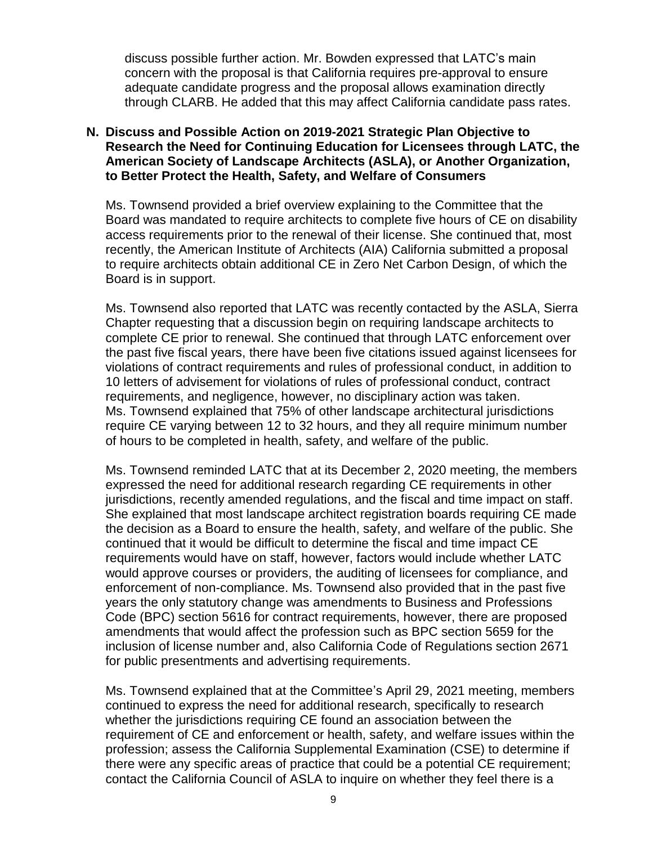discuss possible further action. Mr. Bowden expressed that LATC's main concern with the proposal is that California requires pre-approval to ensure adequate candidate progress and the proposal allows examination directly through CLARB. He added that this may affect California candidate pass rates.

### **N. Discuss and Possible Action on 2019-2021 Strategic Plan Objective to Research the Need for Continuing Education for Licensees through LATC, the American Society of Landscape Architects (ASLA), or Another Organization, to Better Protect the Health, Safety, and Welfare of Consumers**

Ms. Townsend provided a brief overview explaining to the Committee that the Board was mandated to require architects to complete five hours of CE on disability access requirements prior to the renewal of their license. She continued that, most recently, the American Institute of Architects (AIA) California submitted a proposal to require architects obtain additional CE in Zero Net Carbon Design, of which the Board is in support.

Ms. Townsend also reported that LATC was recently contacted by the ASLA, Sierra Chapter requesting that a discussion begin on requiring landscape architects to complete CE prior to renewal. She continued that through LATC enforcement over the past five fiscal years, there have been five citations issued against licensees for violations of contract requirements and rules of professional conduct, in addition to 10 letters of advisement for violations of rules of professional conduct, contract requirements, and negligence, however, no disciplinary action was taken. Ms. Townsend explained that 75% of other landscape architectural jurisdictions require CE varying between 12 to 32 hours, and they all require minimum number of hours to be completed in health, safety, and welfare of the public.

Ms. Townsend reminded LATC that at its December 2, 2020 meeting, the members expressed the need for additional research regarding CE requirements in other jurisdictions, recently amended regulations, and the fiscal and time impact on staff. She explained that most landscape architect registration boards requiring CE made the decision as a Board to ensure the health, safety, and welfare of the public. She continued that it would be difficult to determine the fiscal and time impact CE requirements would have on staff, however, factors would include whether LATC would approve courses or providers, the auditing of licensees for compliance, and enforcement of non-compliance. Ms. Townsend also provided that in the past five years the only statutory change was amendments to Business and Professions Code (BPC) section 5616 for contract requirements, however, there are proposed amendments that would affect the profession such as BPC section 5659 for the inclusion of license number and, also California Code of Regulations section 2671 for public presentments and advertising requirements.

Ms. Townsend explained that at the Committee's April 29, 2021 meeting, members continued to express the need for additional research, specifically to research whether the jurisdictions requiring CE found an association between the requirement of CE and enforcement or health, safety, and welfare issues within the profession; assess the California Supplemental Examination (CSE) to determine if there were any specific areas of practice that could be a potential CE requirement; contact the California Council of ASLA to inquire on whether they feel there is a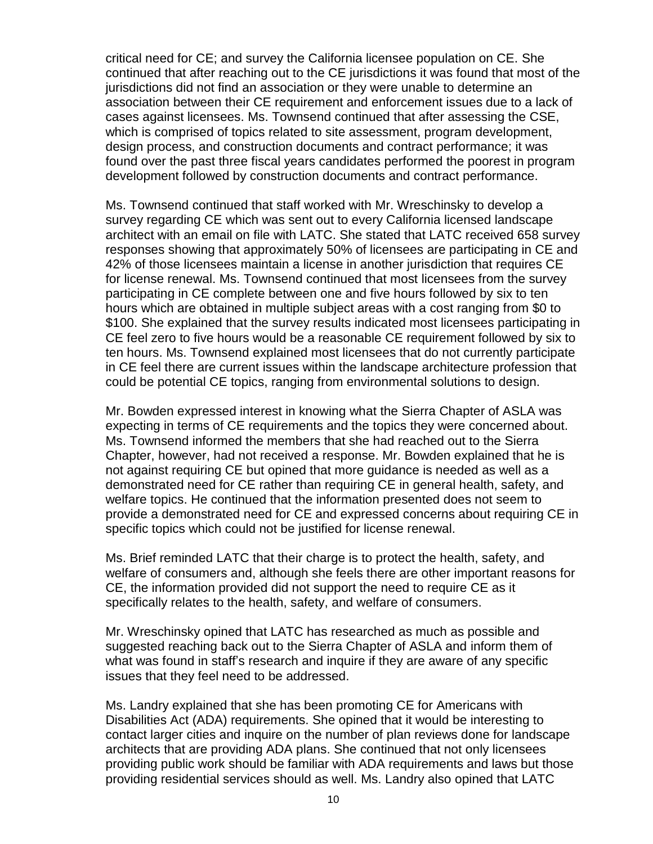critical need for CE; and survey the California licensee population on CE. She continued that after reaching out to the CE jurisdictions it was found that most of the jurisdictions did not find an association or they were unable to determine an association between their CE requirement and enforcement issues due to a lack of cases against licensees. Ms. Townsend continued that after assessing the CSE, which is comprised of topics related to site assessment, program development, design process, and construction documents and contract performance; it was found over the past three fiscal years candidates performed the poorest in program development followed by construction documents and contract performance.

Ms. Townsend continued that staff worked with Mr. Wreschinsky to develop a survey regarding CE which was sent out to every California licensed landscape architect with an email on file with LATC. She stated that LATC received 658 survey responses showing that approximately 50% of licensees are participating in CE and 42% of those licensees maintain a license in another jurisdiction that requires CE for license renewal. Ms. Townsend continued that most licensees from the survey participating in CE complete between one and five hours followed by six to ten hours which are obtained in multiple subject areas with a cost ranging from \$0 to \$100. She explained that the survey results indicated most licensees participating in CE feel zero to five hours would be a reasonable CE requirement followed by six to ten hours. Ms. Townsend explained most licensees that do not currently participate in CE feel there are current issues within the landscape architecture profession that could be potential CE topics, ranging from environmental solutions to design.

Mr. Bowden expressed interest in knowing what the Sierra Chapter of ASLA was expecting in terms of CE requirements and the topics they were concerned about. Ms. Townsend informed the members that she had reached out to the Sierra Chapter, however, had not received a response. Mr. Bowden explained that he is not against requiring CE but opined that more guidance is needed as well as a demonstrated need for CE rather than requiring CE in general health, safety, and welfare topics. He continued that the information presented does not seem to provide a demonstrated need for CE and expressed concerns about requiring CE in specific topics which could not be justified for license renewal.

Ms. Brief reminded LATC that their charge is to protect the health, safety, and welfare of consumers and, although she feels there are other important reasons for CE, the information provided did not support the need to require CE as it specifically relates to the health, safety, and welfare of consumers.

Mr. Wreschinsky opined that LATC has researched as much as possible and suggested reaching back out to the Sierra Chapter of ASLA and inform them of what was found in staff's research and inquire if they are aware of any specific issues that they feel need to be addressed.

Ms. Landry explained that she has been promoting CE for Americans with Disabilities Act (ADA) requirements. She opined that it would be interesting to contact larger cities and inquire on the number of plan reviews done for landscape architects that are providing ADA plans. She continued that not only licensees providing public work should be familiar with ADA requirements and laws but those providing residential services should as well. Ms. Landry also opined that LATC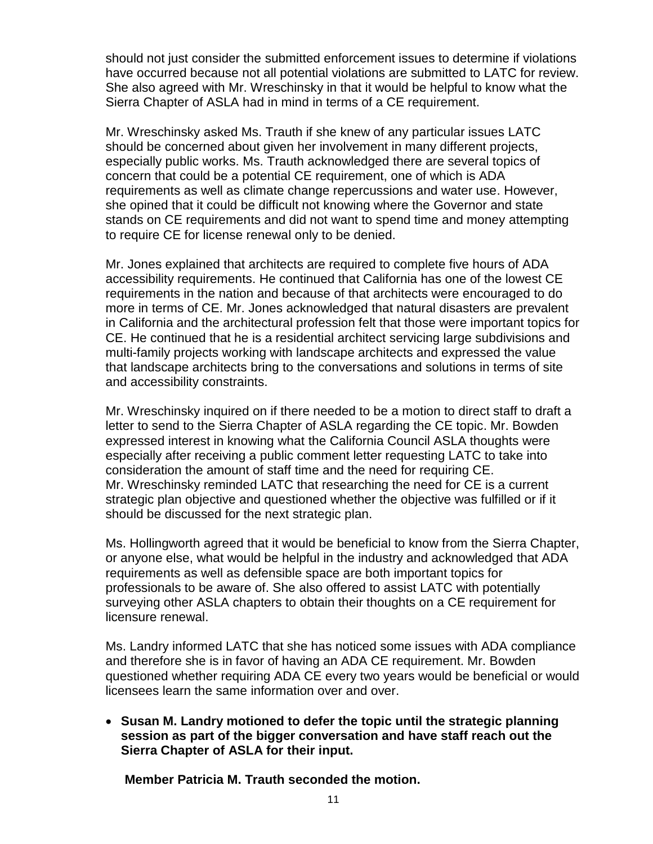should not just consider the submitted enforcement issues to determine if violations have occurred because not all potential violations are submitted to LATC for review. She also agreed with Mr. Wreschinsky in that it would be helpful to know what the Sierra Chapter of ASLA had in mind in terms of a CE requirement.

Mr. Wreschinsky asked Ms. Trauth if she knew of any particular issues LATC should be concerned about given her involvement in many different projects, especially public works. Ms. Trauth acknowledged there are several topics of concern that could be a potential CE requirement, one of which is ADA requirements as well as climate change repercussions and water use. However, she opined that it could be difficult not knowing where the Governor and state stands on CE requirements and did not want to spend time and money attempting to require CE for license renewal only to be denied.

Mr. Jones explained that architects are required to complete five hours of ADA accessibility requirements. He continued that California has one of the lowest CE requirements in the nation and because of that architects were encouraged to do more in terms of CE. Mr. Jones acknowledged that natural disasters are prevalent in California and the architectural profession felt that those were important topics for CE. He continued that he is a residential architect servicing large subdivisions and multi-family projects working with landscape architects and expressed the value that landscape architects bring to the conversations and solutions in terms of site and accessibility constraints.

Mr. Wreschinsky inquired on if there needed to be a motion to direct staff to draft a letter to send to the Sierra Chapter of ASLA regarding the CE topic. Mr. Bowden expressed interest in knowing what the California Council ASLA thoughts were especially after receiving a public comment letter requesting LATC to take into consideration the amount of staff time and the need for requiring CE. Mr. Wreschinsky reminded LATC that researching the need for CE is a current strategic plan objective and questioned whether the objective was fulfilled or if it should be discussed for the next strategic plan.

Ms. Hollingworth agreed that it would be beneficial to know from the Sierra Chapter, or anyone else, what would be helpful in the industry and acknowledged that ADA requirements as well as defensible space are both important topics for professionals to be aware of. She also offered to assist LATC with potentially surveying other ASLA chapters to obtain their thoughts on a CE requirement for licensure renewal.

Ms. Landry informed LATC that she has noticed some issues with ADA compliance and therefore she is in favor of having an ADA CE requirement. Mr. Bowden questioned whether requiring ADA CE every two years would be beneficial or would licensees learn the same information over and over.

• **Susan M. Landry motioned to defer the topic until the strategic planning session as part of the bigger conversation and have staff reach out the Sierra Chapter of ASLA for their input.**

**Member Patricia M. Trauth seconded the motion.**